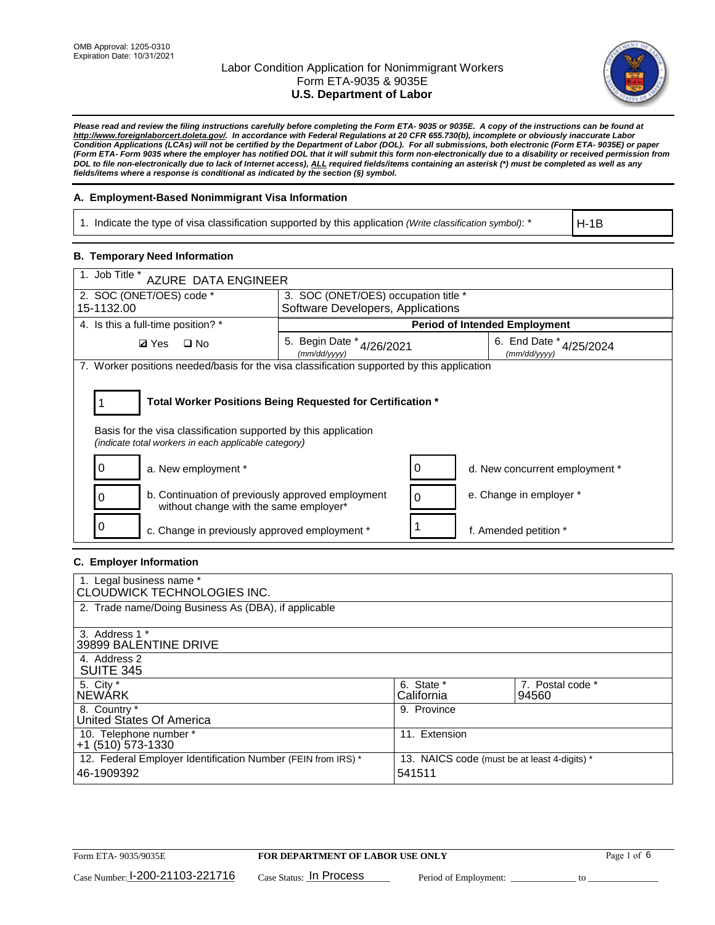

*Please read and review the filing instructions carefully before completing the Form ETA- 9035 or 9035E. A copy of the instructions can be found at [http://www.foreignlaborcert.doleta.gov/.](http://www.foreignlaborcert.doleta.gov/) In accordance with Federal Regulations at 20 CFR 655.730(b), incomplete or obviously inaccurate Labor Condition Applications (LCAs) will not be certified by the Department of Labor (DOL). For all submissions, both electronic (Form ETA- 9035E) or paper (Form ETA- Form 9035 where the employer has notified DOL that it will submit this form non-electronically due to a disability or received permission from DOL to file non-electronically due to lack of Internet access), ALL required fields/items containing an asterisk (\*) must be completed as well as any fields/items where a response is conditional as indicated by the section (§) symbol.* 

### **A. Employment-Based Nonimmigrant Visa Information**

1. Indicate the type of visa classification supported by this application *(Write classification symbol)*: \*

H-1B

### **B. Temporary Need Information**

| 1. Job Title *<br>AZURE DATA ENGINEER                                                                                   |                                                            |                                             |  |  |  |  |  |
|-------------------------------------------------------------------------------------------------------------------------|------------------------------------------------------------|---------------------------------------------|--|--|--|--|--|
| 2. SOC (ONET/OES) code *                                                                                                | 3. SOC (ONET/OES) occupation title *                       |                                             |  |  |  |  |  |
| 15-1132.00                                                                                                              | Software Developers, Applications                          |                                             |  |  |  |  |  |
| 4. Is this a full-time position? *                                                                                      |                                                            | <b>Period of Intended Employment</b>        |  |  |  |  |  |
| <b>Ø</b> Yes<br>$\Box$ No                                                                                               | 5. Begin Date $*_{4/26/2021}$<br>(mm/dd/yyyy)              | 6. End Date $*_{4/25/2024}$<br>(mm/dd/yyyy) |  |  |  |  |  |
| 7. Worker positions needed/basis for the visa classification supported by this application                              |                                                            |                                             |  |  |  |  |  |
| Basis for the visa classification supported by this application<br>(indicate total workers in each applicable category) | Total Worker Positions Being Requested for Certification * |                                             |  |  |  |  |  |
| O<br>a. New employment *                                                                                                | O                                                          | d. New concurrent employment *              |  |  |  |  |  |
| b. Continuation of previously approved employment<br>without change with the same employer*                             | $\Omega$                                                   | e. Change in employer *                     |  |  |  |  |  |
| c. Change in previously approved employment *                                                                           |                                                            | f. Amended petition *                       |  |  |  |  |  |

### **C. Employer Information**

| 1. Legal business name *<br>CLOUDWICK TECHNOLOGIES INC.                    |                                                        |                           |
|----------------------------------------------------------------------------|--------------------------------------------------------|---------------------------|
| 2. Trade name/Doing Business As (DBA), if applicable                       |                                                        |                           |
| 3. Address 1 *<br>39899 BALENTINE DRIVE                                    |                                                        |                           |
| 4. Address 2<br><b>SUITE 345</b>                                           |                                                        |                           |
| 5. City *<br><b>NEWARK</b>                                                 | 6. State *<br>California                               | 7. Postal code *<br>94560 |
| 8. Country *<br>United States Of America                                   | 9. Province                                            |                           |
| 10. Telephone number *<br>$+1$ (510) 573-1330                              | 11. Extension                                          |                           |
| 12. Federal Employer Identification Number (FEIN from IRS) *<br>46-1909392 | 13. NAICS code (must be at least 4-digits) *<br>541511 |                           |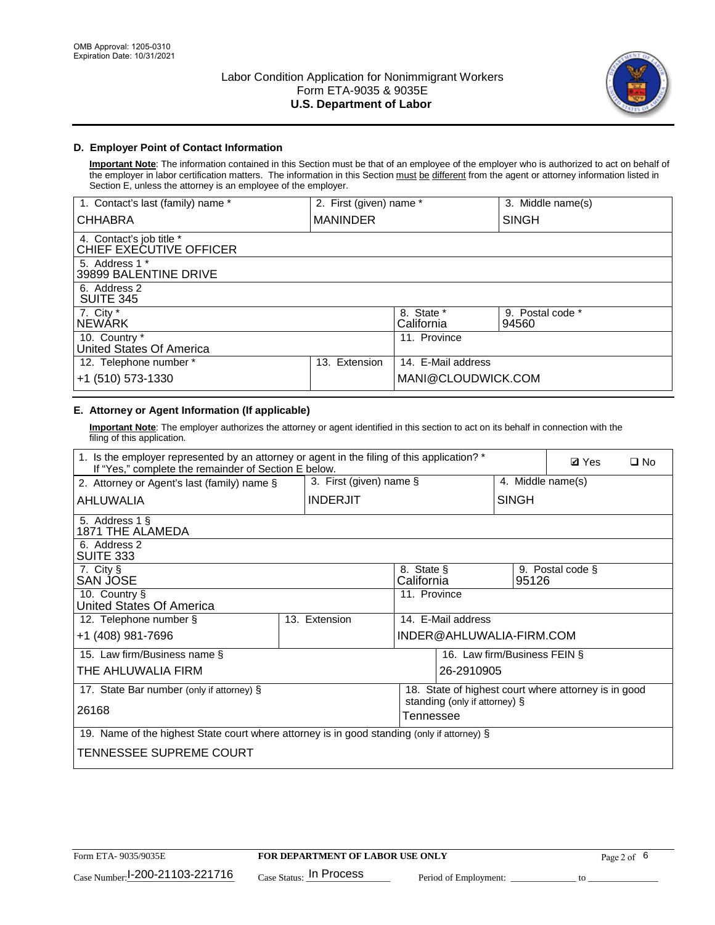

## **D. Employer Point of Contact Information**

**Important Note**: The information contained in this Section must be that of an employee of the employer who is authorized to act on behalf of the employer in labor certification matters. The information in this Section must be different from the agent or attorney information listed in Section E, unless the attorney is an employee of the employer.

| 1. Contact's last (family) name *                   | 2. First (given) name * |                          | 3. Middle name(s)         |
|-----------------------------------------------------|-------------------------|--------------------------|---------------------------|
| <b>CHHABRA</b>                                      | <b>MANINDER</b>         |                          | <b>SINGH</b>              |
| 4. Contact's job title *<br>CHIEF EXECUTIVE OFFICER |                         |                          |                           |
| 5. Address 1 *<br>39899 BALENTINE DRIVE             |                         |                          |                           |
| 6. Address 2<br><b>SUITE 345</b>                    |                         |                          |                           |
| 7. City *<br><b>NEWÁRK</b>                          |                         | 8. State *<br>California | 9. Postal code *<br>94560 |
| 10. Country *<br>United States Of America           |                         | 11. Province             |                           |
| 12. Telephone number *                              | Extension<br>13.        | 14. E-Mail address       |                           |
| +1 (510) 573-1330                                   |                         | MANI@CLOUDWICK.COM       |                           |

# **E. Attorney or Agent Information (If applicable)**

**Important Note**: The employer authorizes the attorney or agent identified in this section to act on its behalf in connection with the filing of this application.

| 1. Is the employer represented by an attorney or agent in the filing of this application? *<br>If "Yes," complete the remainder of Section E below. |                            |                          |                               |              |       | <b>Ø</b> Yes                                         | $\Box$ No |
|-----------------------------------------------------------------------------------------------------------------------------------------------------|----------------------------|--------------------------|-------------------------------|--------------|-------|------------------------------------------------------|-----------|
| 2. Attorney or Agent's last (family) name §                                                                                                         | 3. First (given) name $\S$ |                          |                               |              |       | 4. Middle name(s)                                    |           |
| AHLUWALIA                                                                                                                                           | <b>INDERJIT</b>            |                          |                               | <b>SINGH</b> |       |                                                      |           |
| 5. Address 1 §<br>1871 THE ALAMEDA                                                                                                                  |                            |                          |                               |              |       |                                                      |           |
| 6. Address 2<br>SUITE 333                                                                                                                           |                            |                          |                               |              |       |                                                      |           |
| 7. City §<br><b>SAN JOSE</b>                                                                                                                        |                            | 8. State §<br>California |                               |              | 95126 | 9. Postal code §                                     |           |
| 10. Country §<br>United States Of America                                                                                                           |                            | 11. Province             |                               |              |       |                                                      |           |
| 12. Telephone number §                                                                                                                              | 13. Extension              |                          | 14. E-Mail address            |              |       |                                                      |           |
| +1 (408) 981-7696                                                                                                                                   |                            |                          | INDER@AHLUWALIA-FIRM.COM      |              |       |                                                      |           |
| 15. Law firm/Business name §                                                                                                                        |                            |                          | 16. Law firm/Business FEIN §  |              |       |                                                      |           |
| THE AHLUWALIA FIRM                                                                                                                                  |                            |                          | 26-2910905                    |              |       |                                                      |           |
| 17. State Bar number (only if attorney) §                                                                                                           |                            |                          |                               |              |       | 18. State of highest court where attorney is in good |           |
| 26168                                                                                                                                               |                            | Tennessee                | standing (only if attorney) § |              |       |                                                      |           |
|                                                                                                                                                     |                            |                          |                               |              |       |                                                      |           |
| 19. Name of the highest State court where attorney is in good standing (only if attorney) §                                                         |                            |                          |                               |              |       |                                                      |           |
| TENNESSEE SUPREME COURT                                                                                                                             |                            |                          |                               |              |       |                                                      |           |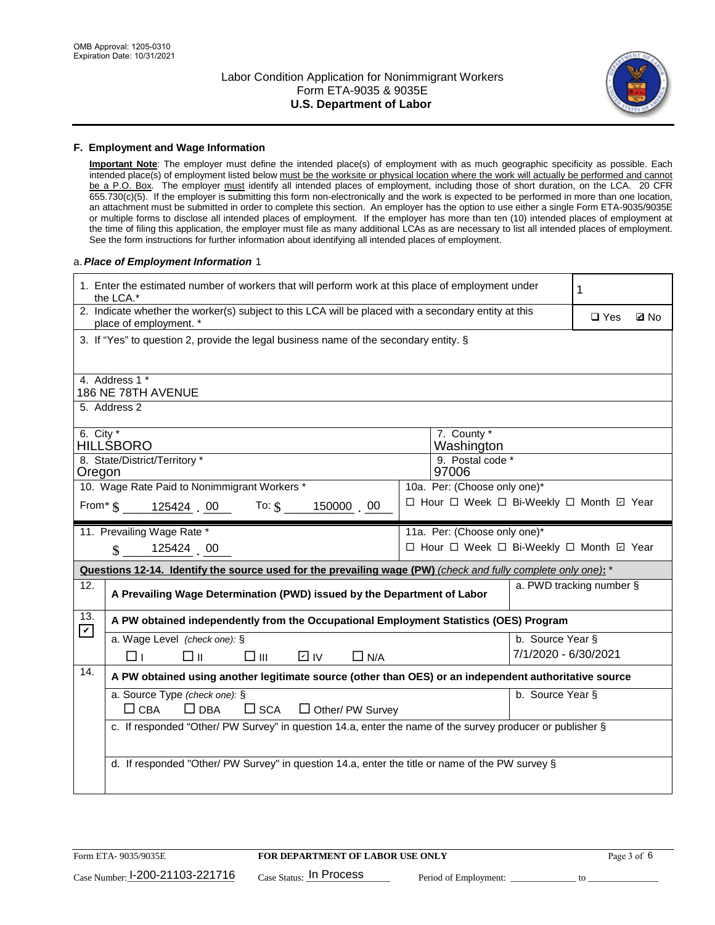

#### **F. Employment and Wage Information**

**Important Note**: The employer must define the intended place(s) of employment with as much geographic specificity as possible. Each intended place(s) of employment listed below must be the worksite or physical location where the work will actually be performed and cannot be a P.O. Box. The employer must identify all intended places of employment, including those of short duration, on the LCA. 20 CFR 655.730(c)(5). If the employer is submitting this form non-electronically and the work is expected to be performed in more than one location, an attachment must be submitted in order to complete this section. An employer has the option to use either a single Form ETA-9035/9035E or multiple forms to disclose all intended places of employment. If the employer has more than ten (10) intended places of employment at the time of filing this application, the employer must file as many additional LCAs as are necessary to list all intended places of employment. See the form instructions for further information about identifying all intended places of employment.

#### a.*Place of Employment Information* 1

|                                                                              | 1. Enter the estimated number of workers that will perform work at this place of employment under<br>1<br>the LCA.*            |  |                                          |                          |            |             |  |  |
|------------------------------------------------------------------------------|--------------------------------------------------------------------------------------------------------------------------------|--|------------------------------------------|--------------------------|------------|-------------|--|--|
|                                                                              | 2. Indicate whether the worker(s) subject to this LCA will be placed with a secondary entity at this<br>place of employment. * |  |                                          |                          | $\Box$ Yes | <b>Z</b> No |  |  |
|                                                                              | 3. If "Yes" to question 2, provide the legal business name of the secondary entity. §                                          |  |                                          |                          |            |             |  |  |
|                                                                              | 4. Address 1 *                                                                                                                 |  |                                          |                          |            |             |  |  |
|                                                                              | 186 NE 78TH AVENUE                                                                                                             |  |                                          |                          |            |             |  |  |
|                                                                              | 5. Address 2                                                                                                                   |  |                                          |                          |            |             |  |  |
|                                                                              | 6. City $*$<br>7. County *<br><b>HILLSBORO</b><br>Washington                                                                   |  |                                          |                          |            |             |  |  |
| 8. State/District/Territory *<br>9. Postal code *                            |                                                                                                                                |  |                                          |                          |            |             |  |  |
| 97006<br>Oregon                                                              |                                                                                                                                |  |                                          |                          |            |             |  |  |
| 10. Wage Rate Paid to Nonimmigrant Workers *<br>10a. Per: (Choose only one)* |                                                                                                                                |  |                                          |                          |            |             |  |  |
|                                                                              | From $\frac{125424}{5}$ . 00 To: $\frac{6}{5}$<br>150000 00                                                                    |  | □ Hour □ Week □ Bi-Weekly □ Month □ Year |                          |            |             |  |  |
|                                                                              | 11. Prevailing Wage Rate *                                                                                                     |  | 11a. Per: (Choose only one)*             |                          |            |             |  |  |
|                                                                              | 125424 00<br>$\mathbf{\$}$                                                                                                     |  | □ Hour □ Week □ Bi-Weekly □ Month ☑ Year |                          |            |             |  |  |
|                                                                              | Questions 12-14. Identify the source used for the prevailing wage (PW) (check and fully complete only one): *                  |  |                                          |                          |            |             |  |  |
| 12.                                                                          | A Prevailing Wage Determination (PWD) issued by the Department of Labor                                                        |  |                                          | a. PWD tracking number § |            |             |  |  |
| 13.<br>$\blacktriangledown$                                                  | A PW obtained independently from the Occupational Employment Statistics (OES) Program                                          |  |                                          |                          |            |             |  |  |
|                                                                              | a. Wage Level (check one): §                                                                                                   |  |                                          | b. Source Year §         |            |             |  |  |
|                                                                              | D IV<br>□⊪<br>$\square$ $\square$<br>$\Box$ N/A<br>□⊥                                                                          |  |                                          | 7/1/2020 - 6/30/2021     |            |             |  |  |
| 14.                                                                          | A PW obtained using another legitimate source (other than OES) or an independent authoritative source                          |  |                                          |                          |            |             |  |  |
|                                                                              | a. Source Type (check one): §                                                                                                  |  |                                          | b. Source Year §         |            |             |  |  |
|                                                                              | $\Box$ CBA<br>$\Box$ DBA<br>$\square$ SCA<br>$\Box$ Other/ PW Survey                                                           |  |                                          |                          |            |             |  |  |
|                                                                              | c. If responded "Other/ PW Survey" in question 14.a, enter the name of the survey producer or publisher §                      |  |                                          |                          |            |             |  |  |
|                                                                              |                                                                                                                                |  |                                          |                          |            |             |  |  |
|                                                                              | d. If responded "Other/ PW Survey" in question 14.a, enter the title or name of the PW survey §                                |  |                                          |                          |            |             |  |  |
|                                                                              |                                                                                                                                |  |                                          |                          |            |             |  |  |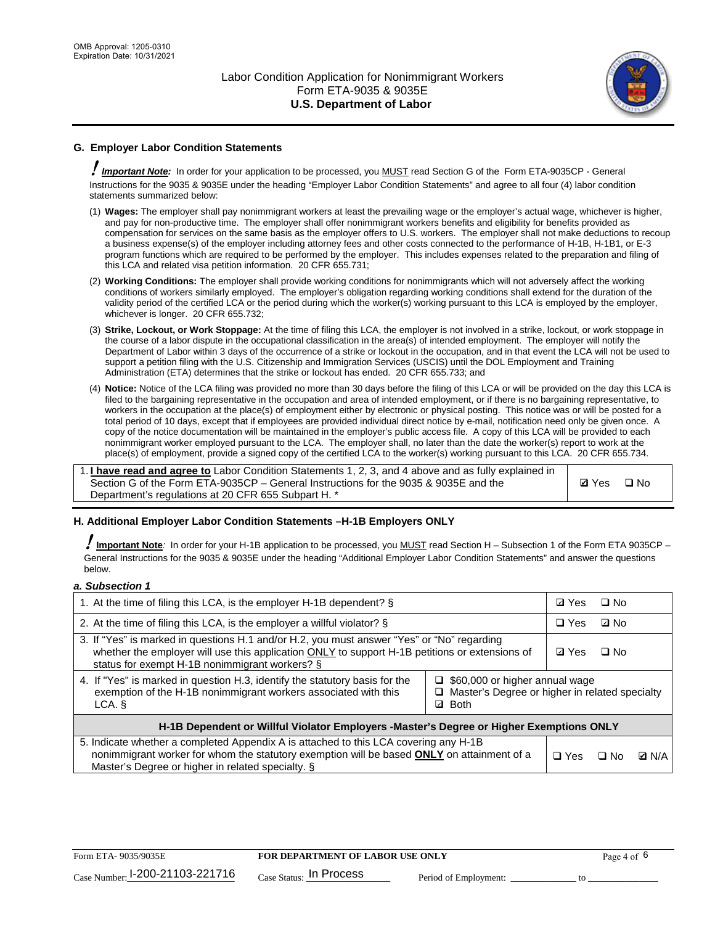

# **G. Employer Labor Condition Statements**

! *Important Note:* In order for your application to be processed, you MUST read Section G of the Form ETA-9035CP - General Instructions for the 9035 & 9035E under the heading "Employer Labor Condition Statements" and agree to all four (4) labor condition statements summarized below:

- (1) **Wages:** The employer shall pay nonimmigrant workers at least the prevailing wage or the employer's actual wage, whichever is higher, and pay for non-productive time. The employer shall offer nonimmigrant workers benefits and eligibility for benefits provided as compensation for services on the same basis as the employer offers to U.S. workers. The employer shall not make deductions to recoup a business expense(s) of the employer including attorney fees and other costs connected to the performance of H-1B, H-1B1, or E-3 program functions which are required to be performed by the employer. This includes expenses related to the preparation and filing of this LCA and related visa petition information. 20 CFR 655.731;
- (2) **Working Conditions:** The employer shall provide working conditions for nonimmigrants which will not adversely affect the working conditions of workers similarly employed. The employer's obligation regarding working conditions shall extend for the duration of the validity period of the certified LCA or the period during which the worker(s) working pursuant to this LCA is employed by the employer, whichever is longer. 20 CFR 655.732;
- (3) **Strike, Lockout, or Work Stoppage:** At the time of filing this LCA, the employer is not involved in a strike, lockout, or work stoppage in the course of a labor dispute in the occupational classification in the area(s) of intended employment. The employer will notify the Department of Labor within 3 days of the occurrence of a strike or lockout in the occupation, and in that event the LCA will not be used to support a petition filing with the U.S. Citizenship and Immigration Services (USCIS) until the DOL Employment and Training Administration (ETA) determines that the strike or lockout has ended. 20 CFR 655.733; and
- (4) **Notice:** Notice of the LCA filing was provided no more than 30 days before the filing of this LCA or will be provided on the day this LCA is filed to the bargaining representative in the occupation and area of intended employment, or if there is no bargaining representative, to workers in the occupation at the place(s) of employment either by electronic or physical posting. This notice was or will be posted for a total period of 10 days, except that if employees are provided individual direct notice by e-mail, notification need only be given once. A copy of the notice documentation will be maintained in the employer's public access file. A copy of this LCA will be provided to each nonimmigrant worker employed pursuant to the LCA. The employer shall, no later than the date the worker(s) report to work at the place(s) of employment, provide a signed copy of the certified LCA to the worker(s) working pursuant to this LCA. 20 CFR 655.734.

1. **I have read and agree to** Labor Condition Statements 1, 2, 3, and 4 above and as fully explained in Section G of the Form ETA-9035CP – General Instructions for the 9035 & 9035E and the Department's regulations at 20 CFR 655 Subpart H. \*

**Ø**Yes ロNo

### **H. Additional Employer Labor Condition Statements –H-1B Employers ONLY**

!**Important Note***:* In order for your H-1B application to be processed, you MUST read Section H – Subsection 1 of the Form ETA 9035CP – General Instructions for the 9035 & 9035E under the heading "Additional Employer Labor Condition Statements" and answer the questions below.

#### *a. Subsection 1*

| 1. At the time of filing this LCA, is the employer H-1B dependent? §                                                                                                                                                                           | ⊡ Yes                                                                                                         | $\square$ No |              |  |
|------------------------------------------------------------------------------------------------------------------------------------------------------------------------------------------------------------------------------------------------|---------------------------------------------------------------------------------------------------------------|--------------|--------------|--|
| 2. At the time of filing this LCA, is the employer a willful violator? $\S$                                                                                                                                                                    | $\Box$ Yes                                                                                                    | ⊡ No         |              |  |
| 3. If "Yes" is marked in questions H.1 and/or H.2, you must answer "Yes" or "No" regarding<br>whether the employer will use this application ONLY to support H-1B petitions or extensions of<br>status for exempt H-1B nonimmigrant workers? § | <b>☑</b> Yes                                                                                                  | $\Box$ No    |              |  |
| 4. If "Yes" is marked in question H.3, identify the statutory basis for the<br>exemption of the H-1B nonimmigrant workers associated with this<br>LCA. §                                                                                       | $\Box$ \$60,000 or higher annual wage<br>□ Master's Degree or higher in related specialty<br><b>Both</b><br>☑ |              |              |  |
| H-1B Dependent or Willful Violator Employers -Master's Degree or Higher Exemptions ONLY                                                                                                                                                        |                                                                                                               |              |              |  |
| 5. Indicate whether a completed Appendix A is attached to this LCA covering any H-1B<br>nonimmigrant worker for whom the statutory exemption will be based <b>ONLY</b> on attainment of a<br>Master's Degree or higher in related specialty. § | $\Box$ Yes                                                                                                    | ⊟ No         | <b>Q</b> N/A |  |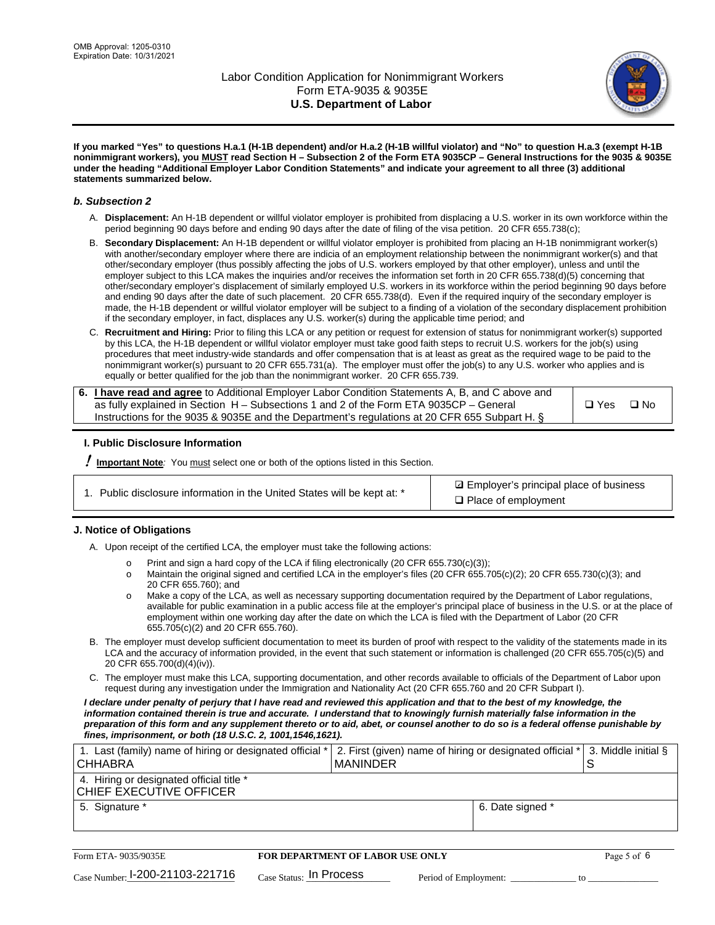

**If you marked "Yes" to questions H.a.1 (H-1B dependent) and/or H.a.2 (H-1B willful violator) and "No" to question H.a.3 (exempt H-1B nonimmigrant workers), you MUST read Section H – Subsection 2 of the Form ETA 9035CP – General Instructions for the 9035 & 9035E under the heading "Additional Employer Labor Condition Statements" and indicate your agreement to all three (3) additional statements summarized below.**

#### *b. Subsection 2*

- A. **Displacement:** An H-1B dependent or willful violator employer is prohibited from displacing a U.S. worker in its own workforce within the period beginning 90 days before and ending 90 days after the date of filing of the visa petition. 20 CFR 655.738(c);
- B. **Secondary Displacement:** An H-1B dependent or willful violator employer is prohibited from placing an H-1B nonimmigrant worker(s) with another/secondary employer where there are indicia of an employment relationship between the nonimmigrant worker(s) and that other/secondary employer (thus possibly affecting the jobs of U.S. workers employed by that other employer), unless and until the employer subject to this LCA makes the inquiries and/or receives the information set forth in 20 CFR 655.738(d)(5) concerning that other/secondary employer's displacement of similarly employed U.S. workers in its workforce within the period beginning 90 days before and ending 90 days after the date of such placement. 20 CFR 655.738(d). Even if the required inquiry of the secondary employer is made, the H-1B dependent or willful violator employer will be subject to a finding of a violation of the secondary displacement prohibition if the secondary employer, in fact, displaces any U.S. worker(s) during the applicable time period; and
- C. **Recruitment and Hiring:** Prior to filing this LCA or any petition or request for extension of status for nonimmigrant worker(s) supported by this LCA, the H-1B dependent or willful violator employer must take good faith steps to recruit U.S. workers for the job(s) using procedures that meet industry-wide standards and offer compensation that is at least as great as the required wage to be paid to the nonimmigrant worker(s) pursuant to 20 CFR 655.731(a). The employer must offer the job(s) to any U.S. worker who applies and is equally or better qualified for the job than the nonimmigrant worker. 20 CFR 655.739.

| 6. I have read and agree to Additional Employer Labor Condition Statements A, B, and C above and |       |           |
|--------------------------------------------------------------------------------------------------|-------|-----------|
| as fully explained in Section H – Subsections 1 and 2 of the Form ETA 9035CP – General           | □ Yes | $\Box$ No |
| Instructions for the 9035 & 9035E and the Department's regulations at 20 CFR 655 Subpart H. §    |       |           |

### **I. Public Disclosure Information**

! **Important Note***:* You must select one or both of the options listed in this Section.

| 1. Public disclosure information in the United States will be kept at: * |  |  |  |  |  |  |
|--------------------------------------------------------------------------|--|--|--|--|--|--|
|--------------------------------------------------------------------------|--|--|--|--|--|--|

**sqrt** Employer's principal place of business □ Place of employment

### **J. Notice of Obligations**

A. Upon receipt of the certified LCA, the employer must take the following actions:

- o Print and sign a hard copy of the LCA if filing electronically (20 CFR 655.730(c)(3));<br>
Maintain the original signed and certified LCA in the employer's files (20 CFR 655.7
- Maintain the original signed and certified LCA in the employer's files (20 CFR 655.705(c)(2); 20 CFR 655.730(c)(3); and 20 CFR 655.760); and
- o Make a copy of the LCA, as well as necessary supporting documentation required by the Department of Labor regulations, available for public examination in a public access file at the employer's principal place of business in the U.S. or at the place of employment within one working day after the date on which the LCA is filed with the Department of Labor (20 CFR 655.705(c)(2) and 20 CFR 655.760).
- B. The employer must develop sufficient documentation to meet its burden of proof with respect to the validity of the statements made in its LCA and the accuracy of information provided, in the event that such statement or information is challenged (20 CFR 655.705(c)(5) and 20 CFR 655.700(d)(4)(iv)).
- C. The employer must make this LCA, supporting documentation, and other records available to officials of the Department of Labor upon request during any investigation under the Immigration and Nationality Act (20 CFR 655.760 and 20 CFR Subpart I).

*I declare under penalty of perjury that I have read and reviewed this application and that to the best of my knowledge, the*  information contained therein is true and accurate. I understand that to knowingly furnish materially false information in the *preparation of this form and any supplement thereto or to aid, abet, or counsel another to do so is a federal offense punishable by fines, imprisonment, or both (18 U.S.C. 2, 1001,1546,1621).*

| 1. Last (family) name of hiring or designated official *<br><b>CHHABRA</b> |                           | I MANINDER                       |                       | 2. First (given) name of hiring or designated official * |    | 3. Middle initial § |
|----------------------------------------------------------------------------|---------------------------|----------------------------------|-----------------------|----------------------------------------------------------|----|---------------------|
| 4. Hiring or designated official title *<br>CHIEF EXECUTIVE OFFICER        |                           |                                  |                       |                                                          |    |                     |
| 5. Signature *                                                             |                           |                                  |                       | 6. Date signed *                                         |    |                     |
|                                                                            |                           |                                  |                       |                                                          |    |                     |
| Form ETA- 9035/9035E                                                       |                           | FOR DEPARTMENT OF LABOR USE ONLY |                       |                                                          |    | Page 5 of 6         |
| Case Number: 1-200-21103-221716                                            | $Case$ Status: In Process |                                  | Period of Employment: |                                                          | tο |                     |